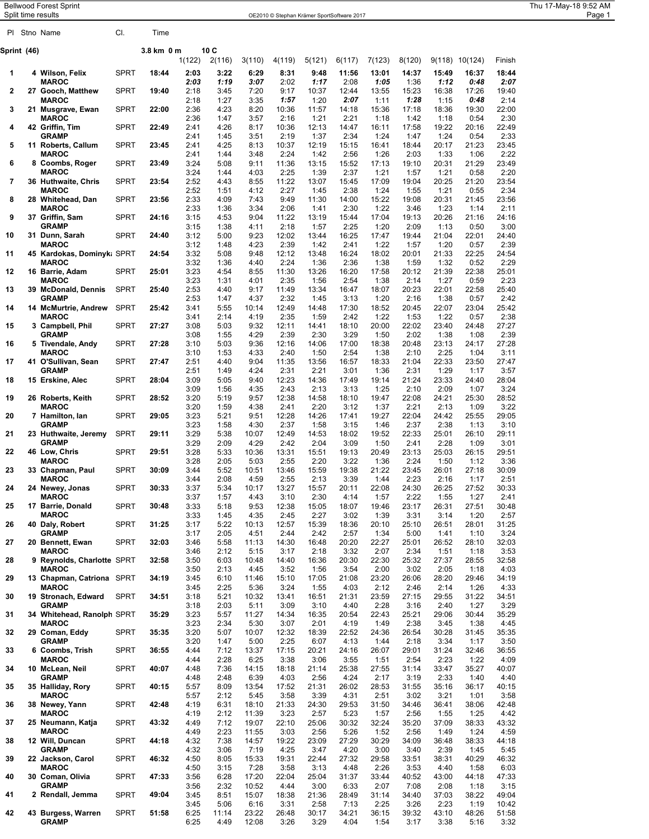| <b>Bellwood Forest Sprint</b> |
|-------------------------------|
|                               |

| <b>Bellwood Forest Sprint</b><br>Thu 17-May-18 9:52 AM<br>Split time results<br>Page 1<br>OE2010 © Stephan Krämer SportSoftware 2017<br>CI.<br>Time<br>PI Stno Name<br>10C<br>3.8 km 0 m<br>Sprint (46)<br>1(122)<br>3(110)<br>5(121)<br>6(117)<br>7(123)<br>8(120)<br>10(124)<br>Finish<br>2(116)<br>4(119)<br>9(118)<br><b>SPRT</b><br>18:44<br>2:03<br>3:22<br>6:29<br>18:44<br>4 Wilson, Felix<br>8:31<br>9:48<br>11:56<br>13:01<br>14:37<br>15:49<br>16:37<br>-1<br>3:07<br>2:07<br><b>MAROC</b><br>2:03<br>1:19<br>2:02<br>1:17<br>1:05<br>1:12<br>2:08<br>1:36<br>0:48<br><b>SPRT</b><br>2:18<br>7:20<br>10:37<br>12:44<br>13:55<br>16:38<br>$\mathbf{2}$<br>27 Gooch. Matthew<br>19:40<br>3:45<br>9:17<br>15:23<br>17:26<br>19:40<br><b>MAROC</b><br>3:35<br>2:18<br>1:27<br>1:57<br>1:20<br>2:07<br>1:11<br>1:28<br>1:15<br>0:48<br>2:14<br><b>SPRT</b><br>2:36<br>21 Musgrave, Ewan<br>22:00<br>4:23<br>8:20<br>10:36<br>11:57<br>14:18<br>15:36<br>17:18<br>18:36<br>19:30<br>22:00<br>3<br><b>MAROC</b><br>2:36<br>3:57<br>2:16<br>2:21<br>1:18<br>1:18<br>0:54<br>2:30<br>1:47<br>1:21<br>1:42<br>42 Griffin, Tim<br><b>SPRT</b><br>22:49<br>22:49<br>2:41<br>4:26<br>8:17<br>10:36<br>12:13<br>14:47<br>16:11<br>17:58<br>19:22<br>20:16<br>4<br><b>GRAMP</b><br>2:41<br>1:45<br>3:51<br>2:19<br>1:37<br>2:34<br>1:24<br>1:47<br>1:24<br>0:54<br>2:33<br><b>SPRT</b><br>23:45<br>11 Roberts, Callum<br>2:41<br>23:45<br>5<br>4:25<br>8:13<br>10:37<br>12:19<br>15:15<br>16:41<br>18:44<br>20:17<br>21:23<br><b>MAROC</b><br>1:44<br>3:48<br>2:24<br>1:42<br>1:26<br>1:33<br>2:22<br>2:41<br>2:56<br>2:03<br>1:06<br><b>SPRT</b><br>23:49<br>3:24<br>5:08<br>11:36<br>13:15<br>15:52<br>17:13<br>19:10<br>20:31<br>21:29<br>23:49<br>6<br>8 Coombs, Roger<br>9:11<br><b>MAROC</b><br>4:03<br>1:39<br>2:37<br>2:20<br>3:24<br>1:44<br>2:25<br>1:21<br>1:21<br>0:58<br>1:57<br>36 Huthwaite, Chris<br><b>SPRT</b><br>23:54<br>2:52<br>8:55<br>11:22<br>13:07<br>17:09<br>20:25<br>21:20<br>23:54<br>7<br>4:43<br>15:45<br>19:04<br><b>MAROC</b><br>2:52<br>1:51<br>4:12<br>2:27<br>1:45<br>2:38<br>1:24<br>1:55<br>1:21<br>0:55<br>2:34<br><b>SPRT</b><br>2:33<br>4:09<br>7:43<br>9:49<br>11:30<br>15:22<br>20:31<br>23:56<br>28 Whitehead, Dan<br>23:56<br>14:00<br>19:08<br>21:45<br>8<br><b>MAROC</b><br>2:33<br>3:34<br>2:06<br>1:23<br>2:11<br>1:36<br>2:30<br>1:22<br>3:46<br>1:4'<br>1:14<br>Griffin, Sam<br><b>SPRT</b><br>24:16<br>3:15<br>4:53<br>9:04<br>17:04<br>20:26<br>24:16<br>9<br>37<br>11:22<br>13:19<br>15:44<br>19:13<br>21:16<br><b>GRAMP</b><br>2:25<br>1:20<br>2:09<br>3:00<br>3:15<br>1:38<br>2:18<br>1:57<br>1:13<br>0:50<br>4:11<br>9:23<br>22:01<br>24:40<br><b>SPRT</b><br>24:40<br>3:12<br>5:00<br>12:02<br>13:44<br>16:25<br>17:47<br>19:44<br>21:04<br>10<br>31 Dunn, Sarah<br><b>MAROC</b><br>4:23<br>2:39<br>3:12<br>1:48<br>2:39<br>1:42<br>2:41<br>1:22<br>1:57<br>1:20<br>0:57<br>45 Kardokas, Dominyk: SPRT<br>24:54<br>3:32<br>5:08<br>9:48<br>13:48<br>18:02<br>21:33<br>22:25<br>24:54<br>12:12<br>16:24<br>20:01<br>11<br>3:32<br>1:36<br>1:32<br>2:29<br><b>MAROC</b><br>1:36<br>4:40<br>2:24<br>2:36<br>1:38<br>1:59<br>0:52<br>3:23<br>4:54<br>8:55<br>13:26<br>17:58<br>21:39<br>22:38<br>25:01<br>16 Barrie, Adam<br><b>SPRT</b><br>25:01<br>11:30<br>16:20<br>20:12<br>12<br>1:56<br>2:54<br>1:27<br>2:23<br><b>MAROC</b><br>3:23<br>1:31<br>4:01<br>2:35<br>1:38<br>2:14<br>0:59<br>2:53<br>13:34<br>18:07<br>20:23<br>22:01<br>22:58<br>25:40<br>13<br>39 McDonald, Dennis<br>SPRT<br>25:40<br>4:40<br>9:17<br>11:49<br>16:47<br>2:53<br>2:42<br><b>GRAMP</b><br>1:47<br>4:37<br>2:32<br>1:45<br>3:13<br>1:20<br>2:16<br>1:38<br>0:57<br>22:07<br>23:04<br>25:42<br><b>McMurtrie, Andrew</b><br>SPRT<br>25:42<br>3:41<br>5:55<br>12:49<br>14:48<br>18:52<br>20:45<br>14<br>10:14<br>17:30<br>14<br><b>MAROC</b><br>3:41<br>2:14<br>2:35<br>1:59<br>2:42<br>1:22<br>1:22<br>2:38<br>4:19<br>1:53<br>0:57<br><b>SPRT</b><br>27:27<br>3 Campbell, Phil<br>27:27<br>3:08<br>5:03<br>9:32<br>12:11<br>14:41<br>18:10<br>20:00<br>22:02<br>23:40<br>24:48<br>15<br><b>GRAMP</b><br>3:08<br>1:55<br>4:29<br>2:39<br>2:30<br>3:29<br>1:50<br>2:02<br>1:38<br>1:08<br>2:39<br><b>SPRT</b><br>27:28<br>14:06<br>23:13<br>27:28<br>3:10<br>5:03<br>9:36<br>17:00<br>18:38<br>20:48<br>24:17<br>16<br>5 Tivendale, Andy<br>12:16<br>2:25<br><b>MAROC</b><br>3:10<br>1:53<br>4:33<br>2:40<br>1:50<br>2:54<br>1:38<br>2:10<br>1:04<br>3:11<br>22:33<br>27:47<br>41 O'Sullivan, Sean<br><b>SPRT</b><br>27:47<br>2:51<br>4:40<br>9:04<br>11:35<br>13:56<br>16:57<br>18:33<br>21:04<br>23:50<br>17<br><b>GRAMP</b><br>4:24<br>1:29<br>3:57<br>2:51<br>1:49<br>2:31<br>2:21<br>3:01<br>1:36<br>2:31<br>1:17<br><b>SPRT</b><br>14:36<br>23:33<br>28:04<br>15 Erskine, Alec<br>28:04<br>3:09<br>5:05<br>9:40<br>12:23<br>17:49<br>19:14<br>21:24<br>24:40<br>18<br>3:09<br>1:56<br>4:35<br>2:43<br>2:13<br>3:13<br>1:25<br>2:10<br>2:09<br>1:07<br>3:24<br><b>SPRT</b><br>14:58<br>19:47<br>24:21<br>25:30<br>28:52<br>26 Roberts, Keith<br>28:52<br>3:20<br>5:19<br>9:57<br>12:38<br>18:10<br>22:08<br>19<br>2:13<br>3:22<br><b>MAROC</b><br>3:20<br>1:59<br>4:38<br>2:41<br>2:20<br>3:12<br>1:37<br>2:21<br>1:09<br><b>SPRT</b><br>29:05<br>3:23<br>5:21<br>9:51<br>12:28<br>14:26<br>17:41<br>19:27<br>22:04<br>24:42<br>25:55<br>29:05<br>20<br>7 Hamilton, lan<br><b>GRAMP</b><br>3:23<br>1:58<br>1:58<br>2:38<br>4:30<br>2:37<br>3:15<br>1:46<br>2:37<br>3:10<br>1:13<br><b>SPRT</b><br>29:11<br>3:29<br>5:38<br>10:07<br>12:49<br>14:53<br>19:52<br>22:33<br>25:01<br>26:10<br>29:11<br>21<br>23 Huthwaite, Jeremy<br>18:02<br><b>GRAMP</b><br>3:29<br>2:09<br>4:29<br>2:42<br>2:04<br>3:09<br>1:50<br>2:41<br>2:28<br>1:09<br>3:01<br><b>SPRT</b><br>25:03<br>29:51<br>29:51<br>3:28<br>5:33<br>10:36<br>13:31<br>15:51<br>19:13<br>20:49<br>23:13<br>26:15<br>22<br>46 Low, Chris<br><b>MAROC</b><br>3:28<br>2:05<br>2:20<br>3:22<br>1:36<br>2:24<br>1:50<br>1:12<br>3:36<br>5:03<br>2:55<br><b>SPRT</b><br>30:09<br>3:44<br>5:52<br>10:51<br>13:46<br>15:59<br>19:38<br>21:22<br>23:45<br>26:01<br>27:18<br>30:09<br>23<br>33<br>Chapman, Paul<br>2:16<br>2:51<br><b>MAROC</b><br>3:44<br>2:08<br>4:59<br>2:55<br>2:13<br>3:39<br>1:44<br>2:23<br>1:17<br><b>SPRT</b><br>30:33<br>3:37<br>15:57<br>20:11<br>22:08<br>26:25<br>27:52<br>30:33<br>5:34<br>10:17<br>13:27<br>24:30<br>24<br>24 Newey, Jonas<br><b>MAROC</b><br>2:22<br>1:55<br>3:37<br>1:57<br>4:43<br>3:10<br>2:30<br>4:14<br>1:57<br>1:27<br>2:41<br><b>SPRT</b><br>9:53<br>15:05<br>26:31<br>27:51<br>30:48<br>30:48<br>3:33<br>5:18<br>12:38<br>18:07<br>19:46<br>23:17<br>25<br>17 Barrie, Donald<br><b>MAROC</b><br>3:33<br>4:35<br>2:27<br>1:39<br>3:31<br>3:14<br>1:20<br>2:57<br>1:45<br>2:45<br>3:02<br>31:25<br>3:17<br>15:39<br>26:51<br>28:01<br>31:25<br>26<br>40 Daly, Robert<br><b>SPRT</b><br>5:22<br>10:13<br>12:57<br>18:36<br>20:10<br>25:10<br><b>GRAMP</b><br>3:17<br>2:05<br>4:51<br>2:44<br>2:42<br>2:57<br>1:34<br>5:00<br>3:24<br>1:41<br>1:10<br><b>SPRT</b><br>32:03<br>5:58<br>16:48<br>20:20<br>22:27<br>26:52<br>28:10<br>32:03<br>27<br>3:46<br>11:13<br>14:30<br>25:01<br>20 Bennett, Ewan<br><b>MAROC</b><br>2:12<br>2:07<br>2:34<br>3:53<br>3:46<br>5:15<br>3:17<br>2:18<br>3:32<br>1:51<br>1:18<br>3:50<br>6:03<br>22:30<br>27:37<br>28:55<br>32:58<br>28<br>32:58<br>16:36<br>20:30<br>25:32<br>9 Reynolds, Charlotte SPRT<br>10:48<br>14:40<br>3:50<br>2:13<br>1:56<br>2:00<br>3:02<br>2:05<br>4:03<br><b>MAROC</b><br>4:45<br>3:52<br>3:54<br>1:18<br>34:19<br>3:45<br>6:10<br>11:46<br>15:10<br>17:05<br>21:08<br>23:20<br>26:06<br>28:20<br>29:46<br>34:19<br>29<br>13 Chapman, Catriona SPRT<br>2:25<br>2:14<br><b>MAROC</b><br>3:45<br>5:36<br>3:24<br>1:55<br>2:12<br>2:46<br>4:33<br>4:03<br>1:26<br>3:18<br>5:21<br>10:32<br>23:59<br>29:55<br>31:22<br>34:51<br>34:51<br>13:41<br>16:51<br>21:31<br>27:15<br>30<br>19 Stronach, Edward<br>SPRT<br>2:03<br>3:29<br><b>GRAMP</b><br>3:18<br>5:11<br>3:09<br>3:10<br>4:40<br>2:28<br>3:16<br>2:40<br>1:27<br>35:29<br>34 Whitehead, Ranolph SPRT<br>35:29<br>3:23<br>5:57<br>11:27<br>14:34<br>16:35<br>20:54<br>22:43<br>25:21<br>29:06<br>30:44<br>31<br>3:23<br>2:34<br>5:30<br>3:07<br>2:01<br>2:38<br>3:45<br>1:38<br>4:45<br><b>MAROC</b><br>4:19<br>1:49<br>22:52<br>35:35<br>32<br>29 Coman, Eddy<br><b>SPRT</b><br>35:35<br>3:20<br>5:07<br>10:07<br>12:32<br>18:39<br>24:36<br>26:54<br>30:28<br>31:45<br><b>GRAMP</b><br>3:20<br>1:47<br>5:00<br>2:25<br>6:07<br>4:13<br>1:44<br>2:18<br>3:34<br>3:50<br>1:17<br><b>SPRT</b><br>20:21<br>26:07<br>31:24<br>32:46<br>36:55<br>36:55<br>4:44<br>7:12<br>13:37<br>17:15<br>24:16<br>29:01<br>33<br>6 Coombs, Trish<br><b>MAROC</b><br>2:23<br>4:44<br>2:28<br>6:25<br>3:38<br>3:06<br>3:55<br>1:51<br>2:54<br>1:22<br>4:09<br>10 McLean, Neil<br><b>SPRT</b><br>40:07<br>4:48<br>7:36<br>14:15<br>21:14<br>25:38<br>27:55<br>33:47<br>35:27<br>40:07<br>34<br>18:18<br>31:14<br><b>GRAMP</b><br>2:48<br>4:48<br>6:39<br>4:03<br>2:56<br>4:24<br>2:17<br>3:19<br>2:33<br>1:40<br>4:40<br><b>SPRT</b><br>40:15<br>8:09<br>13:54<br>17:52<br>21:31<br>26:02<br>28:53<br>35:16<br>36:17<br>40:15<br>35<br>35 Halliday, Rory<br>5:57<br>31:55<br><b>MAROC</b><br>5:57<br>2:12<br>3:58<br>3:39<br>2:51<br>3:02<br>3:21<br>3:58<br>5:45<br>4:31<br>1:01<br>42:48<br>38 Newey, Yann<br><b>SPRT</b><br>4:19<br>6:31<br>21:33<br>24:30<br>29:53<br>31:50<br>36:41<br>38:06<br>36<br>18:10<br>34:46<br>42:48<br><b>MAROC</b><br>3:23<br>2:57<br>1:55<br>4:19<br>2:12<br>11:39<br>5:23<br>1:57<br>2:56<br>1:25<br>4:42<br><b>SPRT</b><br>25:06<br>30:32<br>32:24<br>37:09<br>25 Neumann, Katja<br>43:32<br>4:49<br>7:12<br>19:07<br>22:10<br>35:20<br>38:33<br>43:32<br>37<br><b>MAROC</b><br>2:23<br>2:56<br>5:26<br>2:56<br>1:49<br>4:59<br>4:49<br>11:55<br>3:03<br>1:52<br>1:24<br>12 Will, Duncan<br><b>SPRT</b><br>44:18<br>4:32<br>7:38<br>14:57<br>19:22<br>23:09<br>27:29<br>30:29<br>36:48<br>38<br>34:09<br>38:33<br>44:18<br><b>GRAMP</b><br>4:32<br>3:06<br>7:19<br>4:25<br>3:47<br>4:20<br>3:00<br>3:40<br>2:39<br>1:45<br>5:45<br><b>SPRT</b><br>4:50<br>27:32<br>38:31<br>22 Jackson, Carol<br>46:32<br>8:05<br>15:33<br>19:31<br>22:44<br>29:58<br>33:51<br>40:29<br>46:32<br>39<br><b>MAROC</b><br>4:50<br>7:28<br>3:58<br>2:26<br>3:53<br>3:15<br>3:13<br>4:48<br>4:40<br>1:58<br>6:03<br>30 Coman, Olivia<br><b>SPRT</b><br>47:33<br>3:56<br>17:20<br>25:04<br>33:44<br>47:33<br>40<br>6:28<br>22:04<br>31:37<br>40:52<br>43:00<br>44:18<br><b>GRAMP</b><br>3:56<br>2:32<br>10:52<br>3:00<br>6:33<br>2:07<br>2:08<br>4:44<br>7:08<br>3:15<br>1:18<br><b>SPRT</b><br>49:04<br>21:36<br>28:49<br>37:03<br>2 Rendall, Jemma<br>3:45<br>8:51<br>15:07<br>18:38<br>31:14<br>34:40<br>38:22<br>49:04<br>41<br>3:45<br>5:06<br>6:16<br>3:31<br>2:58<br>7:13<br>2:25<br>3:26<br>2:23<br>1:19<br>10:42 |  |             |      |  |  |  |  |  |  |
|---------------------------------------------------------------------------------------------------------------------------------------------------------------------------------------------------------------------------------------------------------------------------------------------------------------------------------------------------------------------------------------------------------------------------------------------------------------------------------------------------------------------------------------------------------------------------------------------------------------------------------------------------------------------------------------------------------------------------------------------------------------------------------------------------------------------------------------------------------------------------------------------------------------------------------------------------------------------------------------------------------------------------------------------------------------------------------------------------------------------------------------------------------------------------------------------------------------------------------------------------------------------------------------------------------------------------------------------------------------------------------------------------------------------------------------------------------------------------------------------------------------------------------------------------------------------------------------------------------------------------------------------------------------------------------------------------------------------------------------------------------------------------------------------------------------------------------------------------------------------------------------------------------------------------------------------------------------------------------------------------------------------------------------------------------------------------------------------------------------------------------------------------------------------------------------------------------------------------------------------------------------------------------------------------------------------------------------------------------------------------------------------------------------------------------------------------------------------------------------------------------------------------------------------------------------------------------------------------------------------------------------------------------------------------------------------------------------------------------------------------------------------------------------------------------------------------------------------------------------------------------------------------------------------------------------------------------------------------------------------------------------------------------------------------------------------------------------------------------------------------------------------------------------------------------------------------------------------------------------------------------------------------------------------------------------------------------------------------------------------------------------------------------------------------------------------------------------------------------------------------------------------------------------------------------------------------------------------------------------------------------------------------------------------------------------------------------------------------------------------------------------------------------------------------------------------------------------------------------------------------------------------------------------------------------------------------------------------------------------------------------------------------------------------------------------------------------------------------------------------------------------------------------------------------------------------------------------------------------------------------------------------------------------------------------------------------------------------------------------------------------------------------------------------------------------------------------------------------------------------------------------------------------------------------------------------------------------------------------------------------------------------------------------------------------------------------------------------------------------------------------------------------------------------------------------------------------------------------------------------------------------------------------------------------------------------------------------------------------------------------------------------------------------------------------------------------------------------------------------------------------------------------------------------------------------------------------------------------------------------------------------------------------------------------------------------------------------------------------------------------------------------------------------------------------------------------------------------------------------------------------------------------------------------------------------------------------------------------------------------------------------------------------------------------------------------------------------------------------------------------------------------------------------------------------------------------------------------------------------------------------------------------------------------------------------------------------------------------------------------------------------------------------------------------------------------------------------------------------------------------------------------------------------------------------------------------------------------------------------------------------------------------------------------------------------------------------------------------------------------------------------------------------------------------------------------------------------------------------------------------------------------------------------------------------------------------------------------------------------------------------------------------------------------------------------------------------------------------------------------------------------------------------------------------------------------------------------------------------------------------------------------------------------------------------------------------------------------------------------------------------------------------------------------------------------------------------------------------------------------------------------------------------------------------------------------------------------------------------------------------------------------------------------------------------------------------------------------------------------------------------------------------------------------------------------------------------------------------------------------------------------------------------------------------------------------------------------------------------------------------------------------------------------------------------------------------------------------------------------------------------------------------------------------------------------------------------------------------------------------------------------------------------------------------------------------------------------------------------------------------------------------------------------------------------------------------------------------------------------------------------------------------------------------------------------------------------------------------------------------------------------------------------------------------------------------------------------------------------------------------------------------------------------------------------------------------------------------------------------------------------------------------------------------------------------------------------------------------------------------------------------------------------------------------------------------------------------------------------------------------------------------------------------------------------------------------------------------------------------------------------------------------------------------------------------------------------------------------------------------------------------------------------------------------------------------------------------------------------------------------------------------------------------------------------------------------------------------------------------------------------------------------------------------------------------------------------------------------------------------------------------------------------------------------------------------------------------------------------------------------------------------------------------------------------------------------------------------------------------------------------------------------------------------------------------------------------------------------------------------------------------------------------------------------------------------------------------------------------------------------------------------------------------------------------------------------------------------------------------------------------------------------------------------------------------------------------------------------------------------------------------------------------------------------------------------------------------------------------------------------------------------------------------------------------------------------------------------------------------------------------------------------------------------------------------------------------------------------------------------------------------------------------------------------------------------------------------------------------------------------------------------------------------------------------------------------------------------------------------------------------------------------------------------------------------------------------------------------------------------------------------------------------------------------------------------------------------------------|--|-------------|------|--|--|--|--|--|--|
|                                                                                                                                                                                                                                                                                                                                                                                                                                                                                                                                                                                                                                                                                                                                                                                                                                                                                                                                                                                                                                                                                                                                                                                                                                                                                                                                                                                                                                                                                                                                                                                                                                                                                                                                                                                                                                                                                                                                                                                                                                                                                                                                                                                                                                                                                                                                                                                                                                                                                                                                                                                                                                                                                                                                                                                                                                                                                                                                                                                                                                                                                                                                                                                                                                                                                                                                                                                                                                                                                                                                                                                                                                                                                                                                                                                                                                                                                                                                                                                                                                                                                                                                                                                                                                                                                                                                                                                                                                                                                                                                                                                                                                                                                                                                                                                                                                                                                                                                                                                                                                                                                                                                                                                                                                                                                                                                                                                                                                                                                                                                                                                                                                                                                                                                                                                                                                                                                                                                                                                                                                                                                                                                                                                                                                                                                                                                                                                                                                                                                                                                                                                                                                                                                                                                                                                                                                                                                                                                                                                                                                                                                                                                                                                                                                                                                                                                                                                                                                                                                                                                                                                                                                                                                                                                                                                                                                                                                                                                                                                                                                                                                                                                                                                                                                                                                                                                                                                                                                                                                                                                                                                                                                                                                                                                                                                                                                                                                                                                                                                                                                                                                                                                                                                                                                                                                                                                                                                                                                                                                                                                                                                                                                                                                                                                                                                                                                                                                                                                                                                                                                                                                                                                                                                                                                                                                                                                                                                                                                                                                                                                                                                                                                                                                                                                                                                                                                                                                                                                                                           |  |             |      |  |  |  |  |  |  |
|                                                                                                                                                                                                                                                                                                                                                                                                                                                                                                                                                                                                                                                                                                                                                                                                                                                                                                                                                                                                                                                                                                                                                                                                                                                                                                                                                                                                                                                                                                                                                                                                                                                                                                                                                                                                                                                                                                                                                                                                                                                                                                                                                                                                                                                                                                                                                                                                                                                                                                                                                                                                                                                                                                                                                                                                                                                                                                                                                                                                                                                                                                                                                                                                                                                                                                                                                                                                                                                                                                                                                                                                                                                                                                                                                                                                                                                                                                                                                                                                                                                                                                                                                                                                                                                                                                                                                                                                                                                                                                                                                                                                                                                                                                                                                                                                                                                                                                                                                                                                                                                                                                                                                                                                                                                                                                                                                                                                                                                                                                                                                                                                                                                                                                                                                                                                                                                                                                                                                                                                                                                                                                                                                                                                                                                                                                                                                                                                                                                                                                                                                                                                                                                                                                                                                                                                                                                                                                                                                                                                                                                                                                                                                                                                                                                                                                                                                                                                                                                                                                                                                                                                                                                                                                                                                                                                                                                                                                                                                                                                                                                                                                                                                                                                                                                                                                                                                                                                                                                                                                                                                                                                                                                                                                                                                                                                                                                                                                                                                                                                                                                                                                                                                                                                                                                                                                                                                                                                                                                                                                                                                                                                                                                                                                                                                                                                                                                                                                                                                                                                                                                                                                                                                                                                                                                                                                                                                                                                                                                                                                                                                                                                                                                                                                                                                                                                                                                                                                                                                                           |  |             |      |  |  |  |  |  |  |
|                                                                                                                                                                                                                                                                                                                                                                                                                                                                                                                                                                                                                                                                                                                                                                                                                                                                                                                                                                                                                                                                                                                                                                                                                                                                                                                                                                                                                                                                                                                                                                                                                                                                                                                                                                                                                                                                                                                                                                                                                                                                                                                                                                                                                                                                                                                                                                                                                                                                                                                                                                                                                                                                                                                                                                                                                                                                                                                                                                                                                                                                                                                                                                                                                                                                                                                                                                                                                                                                                                                                                                                                                                                                                                                                                                                                                                                                                                                                                                                                                                                                                                                                                                                                                                                                                                                                                                                                                                                                                                                                                                                                                                                                                                                                                                                                                                                                                                                                                                                                                                                                                                                                                                                                                                                                                                                                                                                                                                                                                                                                                                                                                                                                                                                                                                                                                                                                                                                                                                                                                                                                                                                                                                                                                                                                                                                                                                                                                                                                                                                                                                                                                                                                                                                                                                                                                                                                                                                                                                                                                                                                                                                                                                                                                                                                                                                                                                                                                                                                                                                                                                                                                                                                                                                                                                                                                                                                                                                                                                                                                                                                                                                                                                                                                                                                                                                                                                                                                                                                                                                                                                                                                                                                                                                                                                                                                                                                                                                                                                                                                                                                                                                                                                                                                                                                                                                                                                                                                                                                                                                                                                                                                                                                                                                                                                                                                                                                                                                                                                                                                                                                                                                                                                                                                                                                                                                                                                                                                                                                                                                                                                                                                                                                                                                                                                                                                                                                                                                                                                           |  |             |      |  |  |  |  |  |  |
|                                                                                                                                                                                                                                                                                                                                                                                                                                                                                                                                                                                                                                                                                                                                                                                                                                                                                                                                                                                                                                                                                                                                                                                                                                                                                                                                                                                                                                                                                                                                                                                                                                                                                                                                                                                                                                                                                                                                                                                                                                                                                                                                                                                                                                                                                                                                                                                                                                                                                                                                                                                                                                                                                                                                                                                                                                                                                                                                                                                                                                                                                                                                                                                                                                                                                                                                                                                                                                                                                                                                                                                                                                                                                                                                                                                                                                                                                                                                                                                                                                                                                                                                                                                                                                                                                                                                                                                                                                                                                                                                                                                                                                                                                                                                                                                                                                                                                                                                                                                                                                                                                                                                                                                                                                                                                                                                                                                                                                                                                                                                                                                                                                                                                                                                                                                                                                                                                                                                                                                                                                                                                                                                                                                                                                                                                                                                                                                                                                                                                                                                                                                                                                                                                                                                                                                                                                                                                                                                                                                                                                                                                                                                                                                                                                                                                                                                                                                                                                                                                                                                                                                                                                                                                                                                                                                                                                                                                                                                                                                                                                                                                                                                                                                                                                                                                                                                                                                                                                                                                                                                                                                                                                                                                                                                                                                                                                                                                                                                                                                                                                                                                                                                                                                                                                                                                                                                                                                                                                                                                                                                                                                                                                                                                                                                                                                                                                                                                                                                                                                                                                                                                                                                                                                                                                                                                                                                                                                                                                                                                                                                                                                                                                                                                                                                                                                                                                                                                                                                                                           |  |             |      |  |  |  |  |  |  |
|                                                                                                                                                                                                                                                                                                                                                                                                                                                                                                                                                                                                                                                                                                                                                                                                                                                                                                                                                                                                                                                                                                                                                                                                                                                                                                                                                                                                                                                                                                                                                                                                                                                                                                                                                                                                                                                                                                                                                                                                                                                                                                                                                                                                                                                                                                                                                                                                                                                                                                                                                                                                                                                                                                                                                                                                                                                                                                                                                                                                                                                                                                                                                                                                                                                                                                                                                                                                                                                                                                                                                                                                                                                                                                                                                                                                                                                                                                                                                                                                                                                                                                                                                                                                                                                                                                                                                                                                                                                                                                                                                                                                                                                                                                                                                                                                                                                                                                                                                                                                                                                                                                                                                                                                                                                                                                                                                                                                                                                                                                                                                                                                                                                                                                                                                                                                                                                                                                                                                                                                                                                                                                                                                                                                                                                                                                                                                                                                                                                                                                                                                                                                                                                                                                                                                                                                                                                                                                                                                                                                                                                                                                                                                                                                                                                                                                                                                                                                                                                                                                                                                                                                                                                                                                                                                                                                                                                                                                                                                                                                                                                                                                                                                                                                                                                                                                                                                                                                                                                                                                                                                                                                                                                                                                                                                                                                                                                                                                                                                                                                                                                                                                                                                                                                                                                                                                                                                                                                                                                                                                                                                                                                                                                                                                                                                                                                                                                                                                                                                                                                                                                                                                                                                                                                                                                                                                                                                                                                                                                                                                                                                                                                                                                                                                                                                                                                                                                                                                                                                                           |  |             |      |  |  |  |  |  |  |
|                                                                                                                                                                                                                                                                                                                                                                                                                                                                                                                                                                                                                                                                                                                                                                                                                                                                                                                                                                                                                                                                                                                                                                                                                                                                                                                                                                                                                                                                                                                                                                                                                                                                                                                                                                                                                                                                                                                                                                                                                                                                                                                                                                                                                                                                                                                                                                                                                                                                                                                                                                                                                                                                                                                                                                                                                                                                                                                                                                                                                                                                                                                                                                                                                                                                                                                                                                                                                                                                                                                                                                                                                                                                                                                                                                                                                                                                                                                                                                                                                                                                                                                                                                                                                                                                                                                                                                                                                                                                                                                                                                                                                                                                                                                                                                                                                                                                                                                                                                                                                                                                                                                                                                                                                                                                                                                                                                                                                                                                                                                                                                                                                                                                                                                                                                                                                                                                                                                                                                                                                                                                                                                                                                                                                                                                                                                                                                                                                                                                                                                                                                                                                                                                                                                                                                                                                                                                                                                                                                                                                                                                                                                                                                                                                                                                                                                                                                                                                                                                                                                                                                                                                                                                                                                                                                                                                                                                                                                                                                                                                                                                                                                                                                                                                                                                                                                                                                                                                                                                                                                                                                                                                                                                                                                                                                                                                                                                                                                                                                                                                                                                                                                                                                                                                                                                                                                                                                                                                                                                                                                                                                                                                                                                                                                                                                                                                                                                                                                                                                                                                                                                                                                                                                                                                                                                                                                                                                                                                                                                                                                                                                                                                                                                                                                                                                                                                                                                                                                                                                           |  |             |      |  |  |  |  |  |  |
|                                                                                                                                                                                                                                                                                                                                                                                                                                                                                                                                                                                                                                                                                                                                                                                                                                                                                                                                                                                                                                                                                                                                                                                                                                                                                                                                                                                                                                                                                                                                                                                                                                                                                                                                                                                                                                                                                                                                                                                                                                                                                                                                                                                                                                                                                                                                                                                                                                                                                                                                                                                                                                                                                                                                                                                                                                                                                                                                                                                                                                                                                                                                                                                                                                                                                                                                                                                                                                                                                                                                                                                                                                                                                                                                                                                                                                                                                                                                                                                                                                                                                                                                                                                                                                                                                                                                                                                                                                                                                                                                                                                                                                                                                                                                                                                                                                                                                                                                                                                                                                                                                                                                                                                                                                                                                                                                                                                                                                                                                                                                                                                                                                                                                                                                                                                                                                                                                                                                                                                                                                                                                                                                                                                                                                                                                                                                                                                                                                                                                                                                                                                                                                                                                                                                                                                                                                                                                                                                                                                                                                                                                                                                                                                                                                                                                                                                                                                                                                                                                                                                                                                                                                                                                                                                                                                                                                                                                                                                                                                                                                                                                                                                                                                                                                                                                                                                                                                                                                                                                                                                                                                                                                                                                                                                                                                                                                                                                                                                                                                                                                                                                                                                                                                                                                                                                                                                                                                                                                                                                                                                                                                                                                                                                                                                                                                                                                                                                                                                                                                                                                                                                                                                                                                                                                                                                                                                                                                                                                                                                                                                                                                                                                                                                                                                                                                                                                                                                                                                                                           |  |             |      |  |  |  |  |  |  |
|                                                                                                                                                                                                                                                                                                                                                                                                                                                                                                                                                                                                                                                                                                                                                                                                                                                                                                                                                                                                                                                                                                                                                                                                                                                                                                                                                                                                                                                                                                                                                                                                                                                                                                                                                                                                                                                                                                                                                                                                                                                                                                                                                                                                                                                                                                                                                                                                                                                                                                                                                                                                                                                                                                                                                                                                                                                                                                                                                                                                                                                                                                                                                                                                                                                                                                                                                                                                                                                                                                                                                                                                                                                                                                                                                                                                                                                                                                                                                                                                                                                                                                                                                                                                                                                                                                                                                                                                                                                                                                                                                                                                                                                                                                                                                                                                                                                                                                                                                                                                                                                                                                                                                                                                                                                                                                                                                                                                                                                                                                                                                                                                                                                                                                                                                                                                                                                                                                                                                                                                                                                                                                                                                                                                                                                                                                                                                                                                                                                                                                                                                                                                                                                                                                                                                                                                                                                                                                                                                                                                                                                                                                                                                                                                                                                                                                                                                                                                                                                                                                                                                                                                                                                                                                                                                                                                                                                                                                                                                                                                                                                                                                                                                                                                                                                                                                                                                                                                                                                                                                                                                                                                                                                                                                                                                                                                                                                                                                                                                                                                                                                                                                                                                                                                                                                                                                                                                                                                                                                                                                                                                                                                                                                                                                                                                                                                                                                                                                                                                                                                                                                                                                                                                                                                                                                                                                                                                                                                                                                                                                                                                                                                                                                                                                                                                                                                                                                                                                                                                                           |  |             |      |  |  |  |  |  |  |
|                                                                                                                                                                                                                                                                                                                                                                                                                                                                                                                                                                                                                                                                                                                                                                                                                                                                                                                                                                                                                                                                                                                                                                                                                                                                                                                                                                                                                                                                                                                                                                                                                                                                                                                                                                                                                                                                                                                                                                                                                                                                                                                                                                                                                                                                                                                                                                                                                                                                                                                                                                                                                                                                                                                                                                                                                                                                                                                                                                                                                                                                                                                                                                                                                                                                                                                                                                                                                                                                                                                                                                                                                                                                                                                                                                                                                                                                                                                                                                                                                                                                                                                                                                                                                                                                                                                                                                                                                                                                                                                                                                                                                                                                                                                                                                                                                                                                                                                                                                                                                                                                                                                                                                                                                                                                                                                                                                                                                                                                                                                                                                                                                                                                                                                                                                                                                                                                                                                                                                                                                                                                                                                                                                                                                                                                                                                                                                                                                                                                                                                                                                                                                                                                                                                                                                                                                                                                                                                                                                                                                                                                                                                                                                                                                                                                                                                                                                                                                                                                                                                                                                                                                                                                                                                                                                                                                                                                                                                                                                                                                                                                                                                                                                                                                                                                                                                                                                                                                                                                                                                                                                                                                                                                                                                                                                                                                                                                                                                                                                                                                                                                                                                                                                                                                                                                                                                                                                                                                                                                                                                                                                                                                                                                                                                                                                                                                                                                                                                                                                                                                                                                                                                                                                                                                                                                                                                                                                                                                                                                                                                                                                                                                                                                                                                                                                                                                                                                                                                                                                           |  |             |      |  |  |  |  |  |  |
|                                                                                                                                                                                                                                                                                                                                                                                                                                                                                                                                                                                                                                                                                                                                                                                                                                                                                                                                                                                                                                                                                                                                                                                                                                                                                                                                                                                                                                                                                                                                                                                                                                                                                                                                                                                                                                                                                                                                                                                                                                                                                                                                                                                                                                                                                                                                                                                                                                                                                                                                                                                                                                                                                                                                                                                                                                                                                                                                                                                                                                                                                                                                                                                                                                                                                                                                                                                                                                                                                                                                                                                                                                                                                                                                                                                                                                                                                                                                                                                                                                                                                                                                                                                                                                                                                                                                                                                                                                                                                                                                                                                                                                                                                                                                                                                                                                                                                                                                                                                                                                                                                                                                                                                                                                                                                                                                                                                                                                                                                                                                                                                                                                                                                                                                                                                                                                                                                                                                                                                                                                                                                                                                                                                                                                                                                                                                                                                                                                                                                                                                                                                                                                                                                                                                                                                                                                                                                                                                                                                                                                                                                                                                                                                                                                                                                                                                                                                                                                                                                                                                                                                                                                                                                                                                                                                                                                                                                                                                                                                                                                                                                                                                                                                                                                                                                                                                                                                                                                                                                                                                                                                                                                                                                                                                                                                                                                                                                                                                                                                                                                                                                                                                                                                                                                                                                                                                                                                                                                                                                                                                                                                                                                                                                                                                                                                                                                                                                                                                                                                                                                                                                                                                                                                                                                                                                                                                                                                                                                                                                                                                                                                                                                                                                                                                                                                                                                                                                                                                                                           |  |             |      |  |  |  |  |  |  |
|                                                                                                                                                                                                                                                                                                                                                                                                                                                                                                                                                                                                                                                                                                                                                                                                                                                                                                                                                                                                                                                                                                                                                                                                                                                                                                                                                                                                                                                                                                                                                                                                                                                                                                                                                                                                                                                                                                                                                                                                                                                                                                                                                                                                                                                                                                                                                                                                                                                                                                                                                                                                                                                                                                                                                                                                                                                                                                                                                                                                                                                                                                                                                                                                                                                                                                                                                                                                                                                                                                                                                                                                                                                                                                                                                                                                                                                                                                                                                                                                                                                                                                                                                                                                                                                                                                                                                                                                                                                                                                                                                                                                                                                                                                                                                                                                                                                                                                                                                                                                                                                                                                                                                                                                                                                                                                                                                                                                                                                                                                                                                                                                                                                                                                                                                                                                                                                                                                                                                                                                                                                                                                                                                                                                                                                                                                                                                                                                                                                                                                                                                                                                                                                                                                                                                                                                                                                                                                                                                                                                                                                                                                                                                                                                                                                                                                                                                                                                                                                                                                                                                                                                                                                                                                                                                                                                                                                                                                                                                                                                                                                                                                                                                                                                                                                                                                                                                                                                                                                                                                                                                                                                                                                                                                                                                                                                                                                                                                                                                                                                                                                                                                                                                                                                                                                                                                                                                                                                                                                                                                                                                                                                                                                                                                                                                                                                                                                                                                                                                                                                                                                                                                                                                                                                                                                                                                                                                                                                                                                                                                                                                                                                                                                                                                                                                                                                                                                                                                                                                                           |  |             |      |  |  |  |  |  |  |
|                                                                                                                                                                                                                                                                                                                                                                                                                                                                                                                                                                                                                                                                                                                                                                                                                                                                                                                                                                                                                                                                                                                                                                                                                                                                                                                                                                                                                                                                                                                                                                                                                                                                                                                                                                                                                                                                                                                                                                                                                                                                                                                                                                                                                                                                                                                                                                                                                                                                                                                                                                                                                                                                                                                                                                                                                                                                                                                                                                                                                                                                                                                                                                                                                                                                                                                                                                                                                                                                                                                                                                                                                                                                                                                                                                                                                                                                                                                                                                                                                                                                                                                                                                                                                                                                                                                                                                                                                                                                                                                                                                                                                                                                                                                                                                                                                                                                                                                                                                                                                                                                                                                                                                                                                                                                                                                                                                                                                                                                                                                                                                                                                                                                                                                                                                                                                                                                                                                                                                                                                                                                                                                                                                                                                                                                                                                                                                                                                                                                                                                                                                                                                                                                                                                                                                                                                                                                                                                                                                                                                                                                                                                                                                                                                                                                                                                                                                                                                                                                                                                                                                                                                                                                                                                                                                                                                                                                                                                                                                                                                                                                                                                                                                                                                                                                                                                                                                                                                                                                                                                                                                                                                                                                                                                                                                                                                                                                                                                                                                                                                                                                                                                                                                                                                                                                                                                                                                                                                                                                                                                                                                                                                                                                                                                                                                                                                                                                                                                                                                                                                                                                                                                                                                                                                                                                                                                                                                                                                                                                                                                                                                                                                                                                                                                                                                                                                                                                                                                                                                           |  |             |      |  |  |  |  |  |  |
|                                                                                                                                                                                                                                                                                                                                                                                                                                                                                                                                                                                                                                                                                                                                                                                                                                                                                                                                                                                                                                                                                                                                                                                                                                                                                                                                                                                                                                                                                                                                                                                                                                                                                                                                                                                                                                                                                                                                                                                                                                                                                                                                                                                                                                                                                                                                                                                                                                                                                                                                                                                                                                                                                                                                                                                                                                                                                                                                                                                                                                                                                                                                                                                                                                                                                                                                                                                                                                                                                                                                                                                                                                                                                                                                                                                                                                                                                                                                                                                                                                                                                                                                                                                                                                                                                                                                                                                                                                                                                                                                                                                                                                                                                                                                                                                                                                                                                                                                                                                                                                                                                                                                                                                                                                                                                                                                                                                                                                                                                                                                                                                                                                                                                                                                                                                                                                                                                                                                                                                                                                                                                                                                                                                                                                                                                                                                                                                                                                                                                                                                                                                                                                                                                                                                                                                                                                                                                                                                                                                                                                                                                                                                                                                                                                                                                                                                                                                                                                                                                                                                                                                                                                                                                                                                                                                                                                                                                                                                                                                                                                                                                                                                                                                                                                                                                                                                                                                                                                                                                                                                                                                                                                                                                                                                                                                                                                                                                                                                                                                                                                                                                                                                                                                                                                                                                                                                                                                                                                                                                                                                                                                                                                                                                                                                                                                                                                                                                                                                                                                                                                                                                                                                                                                                                                                                                                                                                                                                                                                                                                                                                                                                                                                                                                                                                                                                                                                                                                                                                                           |  |             |      |  |  |  |  |  |  |
|                                                                                                                                                                                                                                                                                                                                                                                                                                                                                                                                                                                                                                                                                                                                                                                                                                                                                                                                                                                                                                                                                                                                                                                                                                                                                                                                                                                                                                                                                                                                                                                                                                                                                                                                                                                                                                                                                                                                                                                                                                                                                                                                                                                                                                                                                                                                                                                                                                                                                                                                                                                                                                                                                                                                                                                                                                                                                                                                                                                                                                                                                                                                                                                                                                                                                                                                                                                                                                                                                                                                                                                                                                                                                                                                                                                                                                                                                                                                                                                                                                                                                                                                                                                                                                                                                                                                                                                                                                                                                                                                                                                                                                                                                                                                                                                                                                                                                                                                                                                                                                                                                                                                                                                                                                                                                                                                                                                                                                                                                                                                                                                                                                                                                                                                                                                                                                                                                                                                                                                                                                                                                                                                                                                                                                                                                                                                                                                                                                                                                                                                                                                                                                                                                                                                                                                                                                                                                                                                                                                                                                                                                                                                                                                                                                                                                                                                                                                                                                                                                                                                                                                                                                                                                                                                                                                                                                                                                                                                                                                                                                                                                                                                                                                                                                                                                                                                                                                                                                                                                                                                                                                                                                                                                                                                                                                                                                                                                                                                                                                                                                                                                                                                                                                                                                                                                                                                                                                                                                                                                                                                                                                                                                                                                                                                                                                                                                                                                                                                                                                                                                                                                                                                                                                                                                                                                                                                                                                                                                                                                                                                                                                                                                                                                                                                                                                                                                                                                                                                                                           |  |             |      |  |  |  |  |  |  |
|                                                                                                                                                                                                                                                                                                                                                                                                                                                                                                                                                                                                                                                                                                                                                                                                                                                                                                                                                                                                                                                                                                                                                                                                                                                                                                                                                                                                                                                                                                                                                                                                                                                                                                                                                                                                                                                                                                                                                                                                                                                                                                                                                                                                                                                                                                                                                                                                                                                                                                                                                                                                                                                                                                                                                                                                                                                                                                                                                                                                                                                                                                                                                                                                                                                                                                                                                                                                                                                                                                                                                                                                                                                                                                                                                                                                                                                                                                                                                                                                                                                                                                                                                                                                                                                                                                                                                                                                                                                                                                                                                                                                                                                                                                                                                                                                                                                                                                                                                                                                                                                                                                                                                                                                                                                                                                                                                                                                                                                                                                                                                                                                                                                                                                                                                                                                                                                                                                                                                                                                                                                                                                                                                                                                                                                                                                                                                                                                                                                                                                                                                                                                                                                                                                                                                                                                                                                                                                                                                                                                                                                                                                                                                                                                                                                                                                                                                                                                                                                                                                                                                                                                                                                                                                                                                                                                                                                                                                                                                                                                                                                                                                                                                                                                                                                                                                                                                                                                                                                                                                                                                                                                                                                                                                                                                                                                                                                                                                                                                                                                                                                                                                                                                                                                                                                                                                                                                                                                                                                                                                                                                                                                                                                                                                                                                                                                                                                                                                                                                                                                                                                                                                                                                                                                                                                                                                                                                                                                                                                                                                                                                                                                                                                                                                                                                                                                                                                                                                                                                                           |  |             |      |  |  |  |  |  |  |
|                                                                                                                                                                                                                                                                                                                                                                                                                                                                                                                                                                                                                                                                                                                                                                                                                                                                                                                                                                                                                                                                                                                                                                                                                                                                                                                                                                                                                                                                                                                                                                                                                                                                                                                                                                                                                                                                                                                                                                                                                                                                                                                                                                                                                                                                                                                                                                                                                                                                                                                                                                                                                                                                                                                                                                                                                                                                                                                                                                                                                                                                                                                                                                                                                                                                                                                                                                                                                                                                                                                                                                                                                                                                                                                                                                                                                                                                                                                                                                                                                                                                                                                                                                                                                                                                                                                                                                                                                                                                                                                                                                                                                                                                                                                                                                                                                                                                                                                                                                                                                                                                                                                                                                                                                                                                                                                                                                                                                                                                                                                                                                                                                                                                                                                                                                                                                                                                                                                                                                                                                                                                                                                                                                                                                                                                                                                                                                                                                                                                                                                                                                                                                                                                                                                                                                                                                                                                                                                                                                                                                                                                                                                                                                                                                                                                                                                                                                                                                                                                                                                                                                                                                                                                                                                                                                                                                                                                                                                                                                                                                                                                                                                                                                                                                                                                                                                                                                                                                                                                                                                                                                                                                                                                                                                                                                                                                                                                                                                                                                                                                                                                                                                                                                                                                                                                                                                                                                                                                                                                                                                                                                                                                                                                                                                                                                                                                                                                                                                                                                                                                                                                                                                                                                                                                                                                                                                                                                                                                                                                                                                                                                                                                                                                                                                                                                                                                                                                                                                                                                           |  |             |      |  |  |  |  |  |  |
|                                                                                                                                                                                                                                                                                                                                                                                                                                                                                                                                                                                                                                                                                                                                                                                                                                                                                                                                                                                                                                                                                                                                                                                                                                                                                                                                                                                                                                                                                                                                                                                                                                                                                                                                                                                                                                                                                                                                                                                                                                                                                                                                                                                                                                                                                                                                                                                                                                                                                                                                                                                                                                                                                                                                                                                                                                                                                                                                                                                                                                                                                                                                                                                                                                                                                                                                                                                                                                                                                                                                                                                                                                                                                                                                                                                                                                                                                                                                                                                                                                                                                                                                                                                                                                                                                                                                                                                                                                                                                                                                                                                                                                                                                                                                                                                                                                                                                                                                                                                                                                                                                                                                                                                                                                                                                                                                                                                                                                                                                                                                                                                                                                                                                                                                                                                                                                                                                                                                                                                                                                                                                                                                                                                                                                                                                                                                                                                                                                                                                                                                                                                                                                                                                                                                                                                                                                                                                                                                                                                                                                                                                                                                                                                                                                                                                                                                                                                                                                                                                                                                                                                                                                                                                                                                                                                                                                                                                                                                                                                                                                                                                                                                                                                                                                                                                                                                                                                                                                                                                                                                                                                                                                                                                                                                                                                                                                                                                                                                                                                                                                                                                                                                                                                                                                                                                                                                                                                                                                                                                                                                                                                                                                                                                                                                                                                                                                                                                                                                                                                                                                                                                                                                                                                                                                                                                                                                                                                                                                                                                                                                                                                                                                                                                                                                                                                                                                                                                                                                                                           |  |             |      |  |  |  |  |  |  |
|                                                                                                                                                                                                                                                                                                                                                                                                                                                                                                                                                                                                                                                                                                                                                                                                                                                                                                                                                                                                                                                                                                                                                                                                                                                                                                                                                                                                                                                                                                                                                                                                                                                                                                                                                                                                                                                                                                                                                                                                                                                                                                                                                                                                                                                                                                                                                                                                                                                                                                                                                                                                                                                                                                                                                                                                                                                                                                                                                                                                                                                                                                                                                                                                                                                                                                                                                                                                                                                                                                                                                                                                                                                                                                                                                                                                                                                                                                                                                                                                                                                                                                                                                                                                                                                                                                                                                                                                                                                                                                                                                                                                                                                                                                                                                                                                                                                                                                                                                                                                                                                                                                                                                                                                                                                                                                                                                                                                                                                                                                                                                                                                                                                                                                                                                                                                                                                                                                                                                                                                                                                                                                                                                                                                                                                                                                                                                                                                                                                                                                                                                                                                                                                                                                                                                                                                                                                                                                                                                                                                                                                                                                                                                                                                                                                                                                                                                                                                                                                                                                                                                                                                                                                                                                                                                                                                                                                                                                                                                                                                                                                                                                                                                                                                                                                                                                                                                                                                                                                                                                                                                                                                                                                                                                                                                                                                                                                                                                                                                                                                                                                                                                                                                                                                                                                                                                                                                                                                                                                                                                                                                                                                                                                                                                                                                                                                                                                                                                                                                                                                                                                                                                                                                                                                                                                                                                                                                                                                                                                                                                                                                                                                                                                                                                                                                                                                                                                                                                                                                                           |  |             |      |  |  |  |  |  |  |
|                                                                                                                                                                                                                                                                                                                                                                                                                                                                                                                                                                                                                                                                                                                                                                                                                                                                                                                                                                                                                                                                                                                                                                                                                                                                                                                                                                                                                                                                                                                                                                                                                                                                                                                                                                                                                                                                                                                                                                                                                                                                                                                                                                                                                                                                                                                                                                                                                                                                                                                                                                                                                                                                                                                                                                                                                                                                                                                                                                                                                                                                                                                                                                                                                                                                                                                                                                                                                                                                                                                                                                                                                                                                                                                                                                                                                                                                                                                                                                                                                                                                                                                                                                                                                                                                                                                                                                                                                                                                                                                                                                                                                                                                                                                                                                                                                                                                                                                                                                                                                                                                                                                                                                                                                                                                                                                                                                                                                                                                                                                                                                                                                                                                                                                                                                                                                                                                                                                                                                                                                                                                                                                                                                                                                                                                                                                                                                                                                                                                                                                                                                                                                                                                                                                                                                                                                                                                                                                                                                                                                                                                                                                                                                                                                                                                                                                                                                                                                                                                                                                                                                                                                                                                                                                                                                                                                                                                                                                                                                                                                                                                                                                                                                                                                                                                                                                                                                                                                                                                                                                                                                                                                                                                                                                                                                                                                                                                                                                                                                                                                                                                                                                                                                                                                                                                                                                                                                                                                                                                                                                                                                                                                                                                                                                                                                                                                                                                                                                                                                                                                                                                                                                                                                                                                                                                                                                                                                                                                                                                                                                                                                                                                                                                                                                                                                                                                                                                                                                                                                           |  |             |      |  |  |  |  |  |  |
|                                                                                                                                                                                                                                                                                                                                                                                                                                                                                                                                                                                                                                                                                                                                                                                                                                                                                                                                                                                                                                                                                                                                                                                                                                                                                                                                                                                                                                                                                                                                                                                                                                                                                                                                                                                                                                                                                                                                                                                                                                                                                                                                                                                                                                                                                                                                                                                                                                                                                                                                                                                                                                                                                                                                                                                                                                                                                                                                                                                                                                                                                                                                                                                                                                                                                                                                                                                                                                                                                                                                                                                                                                                                                                                                                                                                                                                                                                                                                                                                                                                                                                                                                                                                                                                                                                                                                                                                                                                                                                                                                                                                                                                                                                                                                                                                                                                                                                                                                                                                                                                                                                                                                                                                                                                                                                                                                                                                                                                                                                                                                                                                                                                                                                                                                                                                                                                                                                                                                                                                                                                                                                                                                                                                                                                                                                                                                                                                                                                                                                                                                                                                                                                                                                                                                                                                                                                                                                                                                                                                                                                                                                                                                                                                                                                                                                                                                                                                                                                                                                                                                                                                                                                                                                                                                                                                                                                                                                                                                                                                                                                                                                                                                                                                                                                                                                                                                                                                                                                                                                                                                                                                                                                                                                                                                                                                                                                                                                                                                                                                                                                                                                                                                                                                                                                                                                                                                                                                                                                                                                                                                                                                                                                                                                                                                                                                                                                                                                                                                                                                                                                                                                                                                                                                                                                                                                                                                                                                                                                                                                                                                                                                                                                                                                                                                                                                                                                                                                                                                                           |  |             |      |  |  |  |  |  |  |
|                                                                                                                                                                                                                                                                                                                                                                                                                                                                                                                                                                                                                                                                                                                                                                                                                                                                                                                                                                                                                                                                                                                                                                                                                                                                                                                                                                                                                                                                                                                                                                                                                                                                                                                                                                                                                                                                                                                                                                                                                                                                                                                                                                                                                                                                                                                                                                                                                                                                                                                                                                                                                                                                                                                                                                                                                                                                                                                                                                                                                                                                                                                                                                                                                                                                                                                                                                                                                                                                                                                                                                                                                                                                                                                                                                                                                                                                                                                                                                                                                                                                                                                                                                                                                                                                                                                                                                                                                                                                                                                                                                                                                                                                                                                                                                                                                                                                                                                                                                                                                                                                                                                                                                                                                                                                                                                                                                                                                                                                                                                                                                                                                                                                                                                                                                                                                                                                                                                                                                                                                                                                                                                                                                                                                                                                                                                                                                                                                                                                                                                                                                                                                                                                                                                                                                                                                                                                                                                                                                                                                                                                                                                                                                                                                                                                                                                                                                                                                                                                                                                                                                                                                                                                                                                                                                                                                                                                                                                                                                                                                                                                                                                                                                                                                                                                                                                                                                                                                                                                                                                                                                                                                                                                                                                                                                                                                                                                                                                                                                                                                                                                                                                                                                                                                                                                                                                                                                                                                                                                                                                                                                                                                                                                                                                                                                                                                                                                                                                                                                                                                                                                                                                                                                                                                                                                                                                                                                                                                                                                                                                                                                                                                                                                                                                                                                                                                                                                                                                                                                           |  |             |      |  |  |  |  |  |  |
|                                                                                                                                                                                                                                                                                                                                                                                                                                                                                                                                                                                                                                                                                                                                                                                                                                                                                                                                                                                                                                                                                                                                                                                                                                                                                                                                                                                                                                                                                                                                                                                                                                                                                                                                                                                                                                                                                                                                                                                                                                                                                                                                                                                                                                                                                                                                                                                                                                                                                                                                                                                                                                                                                                                                                                                                                                                                                                                                                                                                                                                                                                                                                                                                                                                                                                                                                                                                                                                                                                                                                                                                                                                                                                                                                                                                                                                                                                                                                                                                                                                                                                                                                                                                                                                                                                                                                                                                                                                                                                                                                                                                                                                                                                                                                                                                                                                                                                                                                                                                                                                                                                                                                                                                                                                                                                                                                                                                                                                                                                                                                                                                                                                                                                                                                                                                                                                                                                                                                                                                                                                                                                                                                                                                                                                                                                                                                                                                                                                                                                                                                                                                                                                                                                                                                                                                                                                                                                                                                                                                                                                                                                                                                                                                                                                                                                                                                                                                                                                                                                                                                                                                                                                                                                                                                                                                                                                                                                                                                                                                                                                                                                                                                                                                                                                                                                                                                                                                                                                                                                                                                                                                                                                                                                                                                                                                                                                                                                                                                                                                                                                                                                                                                                                                                                                                                                                                                                                                                                                                                                                                                                                                                                                                                                                                                                                                                                                                                                                                                                                                                                                                                                                                                                                                                                                                                                                                                                                                                                                                                                                                                                                                                                                                                                                                                                                                                                                                                                                                                                           |  |             |      |  |  |  |  |  |  |
|                                                                                                                                                                                                                                                                                                                                                                                                                                                                                                                                                                                                                                                                                                                                                                                                                                                                                                                                                                                                                                                                                                                                                                                                                                                                                                                                                                                                                                                                                                                                                                                                                                                                                                                                                                                                                                                                                                                                                                                                                                                                                                                                                                                                                                                                                                                                                                                                                                                                                                                                                                                                                                                                                                                                                                                                                                                                                                                                                                                                                                                                                                                                                                                                                                                                                                                                                                                                                                                                                                                                                                                                                                                                                                                                                                                                                                                                                                                                                                                                                                                                                                                                                                                                                                                                                                                                                                                                                                                                                                                                                                                                                                                                                                                                                                                                                                                                                                                                                                                                                                                                                                                                                                                                                                                                                                                                                                                                                                                                                                                                                                                                                                                                                                                                                                                                                                                                                                                                                                                                                                                                                                                                                                                                                                                                                                                                                                                                                                                                                                                                                                                                                                                                                                                                                                                                                                                                                                                                                                                                                                                                                                                                                                                                                                                                                                                                                                                                                                                                                                                                                                                                                                                                                                                                                                                                                                                                                                                                                                                                                                                                                                                                                                                                                                                                                                                                                                                                                                                                                                                                                                                                                                                                                                                                                                                                                                                                                                                                                                                                                                                                                                                                                                                                                                                                                                                                                                                                                                                                                                                                                                                                                                                                                                                                                                                                                                                                                                                                                                                                                                                                                                                                                                                                                                                                                                                                                                                                                                                                                                                                                                                                                                                                                                                                                                                                                                                                                                                                                                           |  |             |      |  |  |  |  |  |  |
|                                                                                                                                                                                                                                                                                                                                                                                                                                                                                                                                                                                                                                                                                                                                                                                                                                                                                                                                                                                                                                                                                                                                                                                                                                                                                                                                                                                                                                                                                                                                                                                                                                                                                                                                                                                                                                                                                                                                                                                                                                                                                                                                                                                                                                                                                                                                                                                                                                                                                                                                                                                                                                                                                                                                                                                                                                                                                                                                                                                                                                                                                                                                                                                                                                                                                                                                                                                                                                                                                                                                                                                                                                                                                                                                                                                                                                                                                                                                                                                                                                                                                                                                                                                                                                                                                                                                                                                                                                                                                                                                                                                                                                                                                                                                                                                                                                                                                                                                                                                                                                                                                                                                                                                                                                                                                                                                                                                                                                                                                                                                                                                                                                                                                                                                                                                                                                                                                                                                                                                                                                                                                                                                                                                                                                                                                                                                                                                                                                                                                                                                                                                                                                                                                                                                                                                                                                                                                                                                                                                                                                                                                                                                                                                                                                                                                                                                                                                                                                                                                                                                                                                                                                                                                                                                                                                                                                                                                                                                                                                                                                                                                                                                                                                                                                                                                                                                                                                                                                                                                                                                                                                                                                                                                                                                                                                                                                                                                                                                                                                                                                                                                                                                                                                                                                                                                                                                                                                                                                                                                                                                                                                                                                                                                                                                                                                                                                                                                                                                                                                                                                                                                                                                                                                                                                                                                                                                                                                                                                                                                                                                                                                                                                                                                                                                                                                                                                                                                                                                                                           |  |             |      |  |  |  |  |  |  |
|                                                                                                                                                                                                                                                                                                                                                                                                                                                                                                                                                                                                                                                                                                                                                                                                                                                                                                                                                                                                                                                                                                                                                                                                                                                                                                                                                                                                                                                                                                                                                                                                                                                                                                                                                                                                                                                                                                                                                                                                                                                                                                                                                                                                                                                                                                                                                                                                                                                                                                                                                                                                                                                                                                                                                                                                                                                                                                                                                                                                                                                                                                                                                                                                                                                                                                                                                                                                                                                                                                                                                                                                                                                                                                                                                                                                                                                                                                                                                                                                                                                                                                                                                                                                                                                                                                                                                                                                                                                                                                                                                                                                                                                                                                                                                                                                                                                                                                                                                                                                                                                                                                                                                                                                                                                                                                                                                                                                                                                                                                                                                                                                                                                                                                                                                                                                                                                                                                                                                                                                                                                                                                                                                                                                                                                                                                                                                                                                                                                                                                                                                                                                                                                                                                                                                                                                                                                                                                                                                                                                                                                                                                                                                                                                                                                                                                                                                                                                                                                                                                                                                                                                                                                                                                                                                                                                                                                                                                                                                                                                                                                                                                                                                                                                                                                                                                                                                                                                                                                                                                                                                                                                                                                                                                                                                                                                                                                                                                                                                                                                                                                                                                                                                                                                                                                                                                                                                                                                                                                                                                                                                                                                                                                                                                                                                                                                                                                                                                                                                                                                                                                                                                                                                                                                                                                                                                                                                                                                                                                                                                                                                                                                                                                                                                                                                                                                                                                                                                                                                                           |  |             |      |  |  |  |  |  |  |
|                                                                                                                                                                                                                                                                                                                                                                                                                                                                                                                                                                                                                                                                                                                                                                                                                                                                                                                                                                                                                                                                                                                                                                                                                                                                                                                                                                                                                                                                                                                                                                                                                                                                                                                                                                                                                                                                                                                                                                                                                                                                                                                                                                                                                                                                                                                                                                                                                                                                                                                                                                                                                                                                                                                                                                                                                                                                                                                                                                                                                                                                                                                                                                                                                                                                                                                                                                                                                                                                                                                                                                                                                                                                                                                                                                                                                                                                                                                                                                                                                                                                                                                                                                                                                                                                                                                                                                                                                                                                                                                                                                                                                                                                                                                                                                                                                                                                                                                                                                                                                                                                                                                                                                                                                                                                                                                                                                                                                                                                                                                                                                                                                                                                                                                                                                                                                                                                                                                                                                                                                                                                                                                                                                                                                                                                                                                                                                                                                                                                                                                                                                                                                                                                                                                                                                                                                                                                                                                                                                                                                                                                                                                                                                                                                                                                                                                                                                                                                                                                                                                                                                                                                                                                                                                                                                                                                                                                                                                                                                                                                                                                                                                                                                                                                                                                                                                                                                                                                                                                                                                                                                                                                                                                                                                                                                                                                                                                                                                                                                                                                                                                                                                                                                                                                                                                                                                                                                                                                                                                                                                                                                                                                                                                                                                                                                                                                                                                                                                                                                                                                                                                                                                                                                                                                                                                                                                                                                                                                                                                                                                                                                                                                                                                                                                                                                                                                                                                                                                                                                           |  |             |      |  |  |  |  |  |  |
|                                                                                                                                                                                                                                                                                                                                                                                                                                                                                                                                                                                                                                                                                                                                                                                                                                                                                                                                                                                                                                                                                                                                                                                                                                                                                                                                                                                                                                                                                                                                                                                                                                                                                                                                                                                                                                                                                                                                                                                                                                                                                                                                                                                                                                                                                                                                                                                                                                                                                                                                                                                                                                                                                                                                                                                                                                                                                                                                                                                                                                                                                                                                                                                                                                                                                                                                                                                                                                                                                                                                                                                                                                                                                                                                                                                                                                                                                                                                                                                                                                                                                                                                                                                                                                                                                                                                                                                                                                                                                                                                                                                                                                                                                                                                                                                                                                                                                                                                                                                                                                                                                                                                                                                                                                                                                                                                                                                                                                                                                                                                                                                                                                                                                                                                                                                                                                                                                                                                                                                                                                                                                                                                                                                                                                                                                                                                                                                                                                                                                                                                                                                                                                                                                                                                                                                                                                                                                                                                                                                                                                                                                                                                                                                                                                                                                                                                                                                                                                                                                                                                                                                                                                                                                                                                                                                                                                                                                                                                                                                                                                                                                                                                                                                                                                                                                                                                                                                                                                                                                                                                                                                                                                                                                                                                                                                                                                                                                                                                                                                                                                                                                                                                                                                                                                                                                                                                                                                                                                                                                                                                                                                                                                                                                                                                                                                                                                                                                                                                                                                                                                                                                                                                                                                                                                                                                                                                                                                                                                                                                                                                                                                                                                                                                                                                                                                                                                                                                                                                                                           |  |             |      |  |  |  |  |  |  |
|                                                                                                                                                                                                                                                                                                                                                                                                                                                                                                                                                                                                                                                                                                                                                                                                                                                                                                                                                                                                                                                                                                                                                                                                                                                                                                                                                                                                                                                                                                                                                                                                                                                                                                                                                                                                                                                                                                                                                                                                                                                                                                                                                                                                                                                                                                                                                                                                                                                                                                                                                                                                                                                                                                                                                                                                                                                                                                                                                                                                                                                                                                                                                                                                                                                                                                                                                                                                                                                                                                                                                                                                                                                                                                                                                                                                                                                                                                                                                                                                                                                                                                                                                                                                                                                                                                                                                                                                                                                                                                                                                                                                                                                                                                                                                                                                                                                                                                                                                                                                                                                                                                                                                                                                                                                                                                                                                                                                                                                                                                                                                                                                                                                                                                                                                                                                                                                                                                                                                                                                                                                                                                                                                                                                                                                                                                                                                                                                                                                                                                                                                                                                                                                                                                                                                                                                                                                                                                                                                                                                                                                                                                                                                                                                                                                                                                                                                                                                                                                                                                                                                                                                                                                                                                                                                                                                                                                                                                                                                                                                                                                                                                                                                                                                                                                                                                                                                                                                                                                                                                                                                                                                                                                                                                                                                                                                                                                                                                                                                                                                                                                                                                                                                                                                                                                                                                                                                                                                                                                                                                                                                                                                                                                                                                                                                                                                                                                                                                                                                                                                                                                                                                                                                                                                                                                                                                                                                                                                                                                                                                                                                                                                                                                                                                                                                                                                                                                                                                                                                                           |  |             |      |  |  |  |  |  |  |
|                                                                                                                                                                                                                                                                                                                                                                                                                                                                                                                                                                                                                                                                                                                                                                                                                                                                                                                                                                                                                                                                                                                                                                                                                                                                                                                                                                                                                                                                                                                                                                                                                                                                                                                                                                                                                                                                                                                                                                                                                                                                                                                                                                                                                                                                                                                                                                                                                                                                                                                                                                                                                                                                                                                                                                                                                                                                                                                                                                                                                                                                                                                                                                                                                                                                                                                                                                                                                                                                                                                                                                                                                                                                                                                                                                                                                                                                                                                                                                                                                                                                                                                                                                                                                                                                                                                                                                                                                                                                                                                                                                                                                                                                                                                                                                                                                                                                                                                                                                                                                                                                                                                                                                                                                                                                                                                                                                                                                                                                                                                                                                                                                                                                                                                                                                                                                                                                                                                                                                                                                                                                                                                                                                                                                                                                                                                                                                                                                                                                                                                                                                                                                                                                                                                                                                                                                                                                                                                                                                                                                                                                                                                                                                                                                                                                                                                                                                                                                                                                                                                                                                                                                                                                                                                                                                                                                                                                                                                                                                                                                                                                                                                                                                                                                                                                                                                                                                                                                                                                                                                                                                                                                                                                                                                                                                                                                                                                                                                                                                                                                                                                                                                                                                                                                                                                                                                                                                                                                                                                                                                                                                                                                                                                                                                                                                                                                                                                                                                                                                                                                                                                                                                                                                                                                                                                                                                                                                                                                                                                                                                                                                                                                                                                                                                                                                                                                                                                                                                                                                           |  |             |      |  |  |  |  |  |  |
|                                                                                                                                                                                                                                                                                                                                                                                                                                                                                                                                                                                                                                                                                                                                                                                                                                                                                                                                                                                                                                                                                                                                                                                                                                                                                                                                                                                                                                                                                                                                                                                                                                                                                                                                                                                                                                                                                                                                                                                                                                                                                                                                                                                                                                                                                                                                                                                                                                                                                                                                                                                                                                                                                                                                                                                                                                                                                                                                                                                                                                                                                                                                                                                                                                                                                                                                                                                                                                                                                                                                                                                                                                                                                                                                                                                                                                                                                                                                                                                                                                                                                                                                                                                                                                                                                                                                                                                                                                                                                                                                                                                                                                                                                                                                                                                                                                                                                                                                                                                                                                                                                                                                                                                                                                                                                                                                                                                                                                                                                                                                                                                                                                                                                                                                                                                                                                                                                                                                                                                                                                                                                                                                                                                                                                                                                                                                                                                                                                                                                                                                                                                                                                                                                                                                                                                                                                                                                                                                                                                                                                                                                                                                                                                                                                                                                                                                                                                                                                                                                                                                                                                                                                                                                                                                                                                                                                                                                                                                                                                                                                                                                                                                                                                                                                                                                                                                                                                                                                                                                                                                                                                                                                                                                                                                                                                                                                                                                                                                                                                                                                                                                                                                                                                                                                                                                                                                                                                                                                                                                                                                                                                                                                                                                                                                                                                                                                                                                                                                                                                                                                                                                                                                                                                                                                                                                                                                                                                                                                                                                                                                                                                                                                                                                                                                                                                                                                                                                                                                                                           |  |             |      |  |  |  |  |  |  |
|                                                                                                                                                                                                                                                                                                                                                                                                                                                                                                                                                                                                                                                                                                                                                                                                                                                                                                                                                                                                                                                                                                                                                                                                                                                                                                                                                                                                                                                                                                                                                                                                                                                                                                                                                                                                                                                                                                                                                                                                                                                                                                                                                                                                                                                                                                                                                                                                                                                                                                                                                                                                                                                                                                                                                                                                                                                                                                                                                                                                                                                                                                                                                                                                                                                                                                                                                                                                                                                                                                                                                                                                                                                                                                                                                                                                                                                                                                                                                                                                                                                                                                                                                                                                                                                                                                                                                                                                                                                                                                                                                                                                                                                                                                                                                                                                                                                                                                                                                                                                                                                                                                                                                                                                                                                                                                                                                                                                                                                                                                                                                                                                                                                                                                                                                                                                                                                                                                                                                                                                                                                                                                                                                                                                                                                                                                                                                                                                                                                                                                                                                                                                                                                                                                                                                                                                                                                                                                                                                                                                                                                                                                                                                                                                                                                                                                                                                                                                                                                                                                                                                                                                                                                                                                                                                                                                                                                                                                                                                                                                                                                                                                                                                                                                                                                                                                                                                                                                                                                                                                                                                                                                                                                                                                                                                                                                                                                                                                                                                                                                                                                                                                                                                                                                                                                                                                                                                                                                                                                                                                                                                                                                                                                                                                                                                                                                                                                                                                                                                                                                                                                                                                                                                                                                                                                                                                                                                                                                                                                                                                                                                                                                                                                                                                                                                                                                                                                                                                                                                                           |  |             |      |  |  |  |  |  |  |
|                                                                                                                                                                                                                                                                                                                                                                                                                                                                                                                                                                                                                                                                                                                                                                                                                                                                                                                                                                                                                                                                                                                                                                                                                                                                                                                                                                                                                                                                                                                                                                                                                                                                                                                                                                                                                                                                                                                                                                                                                                                                                                                                                                                                                                                                                                                                                                                                                                                                                                                                                                                                                                                                                                                                                                                                                                                                                                                                                                                                                                                                                                                                                                                                                                                                                                                                                                                                                                                                                                                                                                                                                                                                                                                                                                                                                                                                                                                                                                                                                                                                                                                                                                                                                                                                                                                                                                                                                                                                                                                                                                                                                                                                                                                                                                                                                                                                                                                                                                                                                                                                                                                                                                                                                                                                                                                                                                                                                                                                                                                                                                                                                                                                                                                                                                                                                                                                                                                                                                                                                                                                                                                                                                                                                                                                                                                                                                                                                                                                                                                                                                                                                                                                                                                                                                                                                                                                                                                                                                                                                                                                                                                                                                                                                                                                                                                                                                                                                                                                                                                                                                                                                                                                                                                                                                                                                                                                                                                                                                                                                                                                                                                                                                                                                                                                                                                                                                                                                                                                                                                                                                                                                                                                                                                                                                                                                                                                                                                                                                                                                                                                                                                                                                                                                                                                                                                                                                                                                                                                                                                                                                                                                                                                                                                                                                                                                                                                                                                                                                                                                                                                                                                                                                                                                                                                                                                                                                                                                                                                                                                                                                                                                                                                                                                                                                                                                                                                                                                                                                           |  |             |      |  |  |  |  |  |  |
|                                                                                                                                                                                                                                                                                                                                                                                                                                                                                                                                                                                                                                                                                                                                                                                                                                                                                                                                                                                                                                                                                                                                                                                                                                                                                                                                                                                                                                                                                                                                                                                                                                                                                                                                                                                                                                                                                                                                                                                                                                                                                                                                                                                                                                                                                                                                                                                                                                                                                                                                                                                                                                                                                                                                                                                                                                                                                                                                                                                                                                                                                                                                                                                                                                                                                                                                                                                                                                                                                                                                                                                                                                                                                                                                                                                                                                                                                                                                                                                                                                                                                                                                                                                                                                                                                                                                                                                                                                                                                                                                                                                                                                                                                                                                                                                                                                                                                                                                                                                                                                                                                                                                                                                                                                                                                                                                                                                                                                                                                                                                                                                                                                                                                                                                                                                                                                                                                                                                                                                                                                                                                                                                                                                                                                                                                                                                                                                                                                                                                                                                                                                                                                                                                                                                                                                                                                                                                                                                                                                                                                                                                                                                                                                                                                                                                                                                                                                                                                                                                                                                                                                                                                                                                                                                                                                                                                                                                                                                                                                                                                                                                                                                                                                                                                                                                                                                                                                                                                                                                                                                                                                                                                                                                                                                                                                                                                                                                                                                                                                                                                                                                                                                                                                                                                                                                                                                                                                                                                                                                                                                                                                                                                                                                                                                                                                                                                                                                                                                                                                                                                                                                                                                                                                                                                                                                                                                                                                                                                                                                                                                                                                                                                                                                                                                                                                                                                                                                                                                                                           |  |             |      |  |  |  |  |  |  |
|                                                                                                                                                                                                                                                                                                                                                                                                                                                                                                                                                                                                                                                                                                                                                                                                                                                                                                                                                                                                                                                                                                                                                                                                                                                                                                                                                                                                                                                                                                                                                                                                                                                                                                                                                                                                                                                                                                                                                                                                                                                                                                                                                                                                                                                                                                                                                                                                                                                                                                                                                                                                                                                                                                                                                                                                                                                                                                                                                                                                                                                                                                                                                                                                                                                                                                                                                                                                                                                                                                                                                                                                                                                                                                                                                                                                                                                                                                                                                                                                                                                                                                                                                                                                                                                                                                                                                                                                                                                                                                                                                                                                                                                                                                                                                                                                                                                                                                                                                                                                                                                                                                                                                                                                                                                                                                                                                                                                                                                                                                                                                                                                                                                                                                                                                                                                                                                                                                                                                                                                                                                                                                                                                                                                                                                                                                                                                                                                                                                                                                                                                                                                                                                                                                                                                                                                                                                                                                                                                                                                                                                                                                                                                                                                                                                                                                                                                                                                                                                                                                                                                                                                                                                                                                                                                                                                                                                                                                                                                                                                                                                                                                                                                                                                                                                                                                                                                                                                                                                                                                                                                                                                                                                                                                                                                                                                                                                                                                                                                                                                                                                                                                                                                                                                                                                                                                                                                                                                                                                                                                                                                                                                                                                                                                                                                                                                                                                                                                                                                                                                                                                                                                                                                                                                                                                                                                                                                                                                                                                                                                                                                                                                                                                                                                                                                                                                                                                                                                                                                                           |  |             |      |  |  |  |  |  |  |
|                                                                                                                                                                                                                                                                                                                                                                                                                                                                                                                                                                                                                                                                                                                                                                                                                                                                                                                                                                                                                                                                                                                                                                                                                                                                                                                                                                                                                                                                                                                                                                                                                                                                                                                                                                                                                                                                                                                                                                                                                                                                                                                                                                                                                                                                                                                                                                                                                                                                                                                                                                                                                                                                                                                                                                                                                                                                                                                                                                                                                                                                                                                                                                                                                                                                                                                                                                                                                                                                                                                                                                                                                                                                                                                                                                                                                                                                                                                                                                                                                                                                                                                                                                                                                                                                                                                                                                                                                                                                                                                                                                                                                                                                                                                                                                                                                                                                                                                                                                                                                                                                                                                                                                                                                                                                                                                                                                                                                                                                                                                                                                                                                                                                                                                                                                                                                                                                                                                                                                                                                                                                                                                                                                                                                                                                                                                                                                                                                                                                                                                                                                                                                                                                                                                                                                                                                                                                                                                                                                                                                                                                                                                                                                                                                                                                                                                                                                                                                                                                                                                                                                                                                                                                                                                                                                                                                                                                                                                                                                                                                                                                                                                                                                                                                                                                                                                                                                                                                                                                                                                                                                                                                                                                                                                                                                                                                                                                                                                                                                                                                                                                                                                                                                                                                                                                                                                                                                                                                                                                                                                                                                                                                                                                                                                                                                                                                                                                                                                                                                                                                                                                                                                                                                                                                                                                                                                                                                                                                                                                                                                                                                                                                                                                                                                                                                                                                                                                                                                                                                           |  |             |      |  |  |  |  |  |  |
|                                                                                                                                                                                                                                                                                                                                                                                                                                                                                                                                                                                                                                                                                                                                                                                                                                                                                                                                                                                                                                                                                                                                                                                                                                                                                                                                                                                                                                                                                                                                                                                                                                                                                                                                                                                                                                                                                                                                                                                                                                                                                                                                                                                                                                                                                                                                                                                                                                                                                                                                                                                                                                                                                                                                                                                                                                                                                                                                                                                                                                                                                                                                                                                                                                                                                                                                                                                                                                                                                                                                                                                                                                                                                                                                                                                                                                                                                                                                                                                                                                                                                                                                                                                                                                                                                                                                                                                                                                                                                                                                                                                                                                                                                                                                                                                                                                                                                                                                                                                                                                                                                                                                                                                                                                                                                                                                                                                                                                                                                                                                                                                                                                                                                                                                                                                                                                                                                                                                                                                                                                                                                                                                                                                                                                                                                                                                                                                                                                                                                                                                                                                                                                                                                                                                                                                                                                                                                                                                                                                                                                                                                                                                                                                                                                                                                                                                                                                                                                                                                                                                                                                                                                                                                                                                                                                                                                                                                                                                                                                                                                                                                                                                                                                                                                                                                                                                                                                                                                                                                                                                                                                                                                                                                                                                                                                                                                                                                                                                                                                                                                                                                                                                                                                                                                                                                                                                                                                                                                                                                                                                                                                                                                                                                                                                                                                                                                                                                                                                                                                                                                                                                                                                                                                                                                                                                                                                                                                                                                                                                                                                                                                                                                                                                                                                                                                                                                                                                                                                                                           |  |             |      |  |  |  |  |  |  |
|                                                                                                                                                                                                                                                                                                                                                                                                                                                                                                                                                                                                                                                                                                                                                                                                                                                                                                                                                                                                                                                                                                                                                                                                                                                                                                                                                                                                                                                                                                                                                                                                                                                                                                                                                                                                                                                                                                                                                                                                                                                                                                                                                                                                                                                                                                                                                                                                                                                                                                                                                                                                                                                                                                                                                                                                                                                                                                                                                                                                                                                                                                                                                                                                                                                                                                                                                                                                                                                                                                                                                                                                                                                                                                                                                                                                                                                                                                                                                                                                                                                                                                                                                                                                                                                                                                                                                                                                                                                                                                                                                                                                                                                                                                                                                                                                                                                                                                                                                                                                                                                                                                                                                                                                                                                                                                                                                                                                                                                                                                                                                                                                                                                                                                                                                                                                                                                                                                                                                                                                                                                                                                                                                                                                                                                                                                                                                                                                                                                                                                                                                                                                                                                                                                                                                                                                                                                                                                                                                                                                                                                                                                                                                                                                                                                                                                                                                                                                                                                                                                                                                                                                                                                                                                                                                                                                                                                                                                                                                                                                                                                                                                                                                                                                                                                                                                                                                                                                                                                                                                                                                                                                                                                                                                                                                                                                                                                                                                                                                                                                                                                                                                                                                                                                                                                                                                                                                                                                                                                                                                                                                                                                                                                                                                                                                                                                                                                                                                                                                                                                                                                                                                                                                                                                                                                                                                                                                                                                                                                                                                                                                                                                                                                                                                                                                                                                                                                                                                                                                                           |  |             |      |  |  |  |  |  |  |
|                                                                                                                                                                                                                                                                                                                                                                                                                                                                                                                                                                                                                                                                                                                                                                                                                                                                                                                                                                                                                                                                                                                                                                                                                                                                                                                                                                                                                                                                                                                                                                                                                                                                                                                                                                                                                                                                                                                                                                                                                                                                                                                                                                                                                                                                                                                                                                                                                                                                                                                                                                                                                                                                                                                                                                                                                                                                                                                                                                                                                                                                                                                                                                                                                                                                                                                                                                                                                                                                                                                                                                                                                                                                                                                                                                                                                                                                                                                                                                                                                                                                                                                                                                                                                                                                                                                                                                                                                                                                                                                                                                                                                                                                                                                                                                                                                                                                                                                                                                                                                                                                                                                                                                                                                                                                                                                                                                                                                                                                                                                                                                                                                                                                                                                                                                                                                                                                                                                                                                                                                                                                                                                                                                                                                                                                                                                                                                                                                                                                                                                                                                                                                                                                                                                                                                                                                                                                                                                                                                                                                                                                                                                                                                                                                                                                                                                                                                                                                                                                                                                                                                                                                                                                                                                                                                                                                                                                                                                                                                                                                                                                                                                                                                                                                                                                                                                                                                                                                                                                                                                                                                                                                                                                                                                                                                                                                                                                                                                                                                                                                                                                                                                                                                                                                                                                                                                                                                                                                                                                                                                                                                                                                                                                                                                                                                                                                                                                                                                                                                                                                                                                                                                                                                                                                                                                                                                                                                                                                                                                                                                                                                                                                                                                                                                                                                                                                                                                                                                                                                           |  |             |      |  |  |  |  |  |  |
|                                                                                                                                                                                                                                                                                                                                                                                                                                                                                                                                                                                                                                                                                                                                                                                                                                                                                                                                                                                                                                                                                                                                                                                                                                                                                                                                                                                                                                                                                                                                                                                                                                                                                                                                                                                                                                                                                                                                                                                                                                                                                                                                                                                                                                                                                                                                                                                                                                                                                                                                                                                                                                                                                                                                                                                                                                                                                                                                                                                                                                                                                                                                                                                                                                                                                                                                                                                                                                                                                                                                                                                                                                                                                                                                                                                                                                                                                                                                                                                                                                                                                                                                                                                                                                                                                                                                                                                                                                                                                                                                                                                                                                                                                                                                                                                                                                                                                                                                                                                                                                                                                                                                                                                                                                                                                                                                                                                                                                                                                                                                                                                                                                                                                                                                                                                                                                                                                                                                                                                                                                                                                                                                                                                                                                                                                                                                                                                                                                                                                                                                                                                                                                                                                                                                                                                                                                                                                                                                                                                                                                                                                                                                                                                                                                                                                                                                                                                                                                                                                                                                                                                                                                                                                                                                                                                                                                                                                                                                                                                                                                                                                                                                                                                                                                                                                                                                                                                                                                                                                                                                                                                                                                                                                                                                                                                                                                                                                                                                                                                                                                                                                                                                                                                                                                                                                                                                                                                                                                                                                                                                                                                                                                                                                                                                                                                                                                                                                                                                                                                                                                                                                                                                                                                                                                                                                                                                                                                                                                                                                                                                                                                                                                                                                                                                                                                                                                                                                                                                                                           |  |             |      |  |  |  |  |  |  |
|                                                                                                                                                                                                                                                                                                                                                                                                                                                                                                                                                                                                                                                                                                                                                                                                                                                                                                                                                                                                                                                                                                                                                                                                                                                                                                                                                                                                                                                                                                                                                                                                                                                                                                                                                                                                                                                                                                                                                                                                                                                                                                                                                                                                                                                                                                                                                                                                                                                                                                                                                                                                                                                                                                                                                                                                                                                                                                                                                                                                                                                                                                                                                                                                                                                                                                                                                                                                                                                                                                                                                                                                                                                                                                                                                                                                                                                                                                                                                                                                                                                                                                                                                                                                                                                                                                                                                                                                                                                                                                                                                                                                                                                                                                                                                                                                                                                                                                                                                                                                                                                                                                                                                                                                                                                                                                                                                                                                                                                                                                                                                                                                                                                                                                                                                                                                                                                                                                                                                                                                                                                                                                                                                                                                                                                                                                                                                                                                                                                                                                                                                                                                                                                                                                                                                                                                                                                                                                                                                                                                                                                                                                                                                                                                                                                                                                                                                                                                                                                                                                                                                                                                                                                                                                                                                                                                                                                                                                                                                                                                                                                                                                                                                                                                                                                                                                                                                                                                                                                                                                                                                                                                                                                                                                                                                                                                                                                                                                                                                                                                                                                                                                                                                                                                                                                                                                                                                                                                                                                                                                                                                                                                                                                                                                                                                                                                                                                                                                                                                                                                                                                                                                                                                                                                                                                                                                                                                                                                                                                                                                                                                                                                                                                                                                                                                                                                                                                                                                                                                                           |  |             |      |  |  |  |  |  |  |
|                                                                                                                                                                                                                                                                                                                                                                                                                                                                                                                                                                                                                                                                                                                                                                                                                                                                                                                                                                                                                                                                                                                                                                                                                                                                                                                                                                                                                                                                                                                                                                                                                                                                                                                                                                                                                                                                                                                                                                                                                                                                                                                                                                                                                                                                                                                                                                                                                                                                                                                                                                                                                                                                                                                                                                                                                                                                                                                                                                                                                                                                                                                                                                                                                                                                                                                                                                                                                                                                                                                                                                                                                                                                                                                                                                                                                                                                                                                                                                                                                                                                                                                                                                                                                                                                                                                                                                                                                                                                                                                                                                                                                                                                                                                                                                                                                                                                                                                                                                                                                                                                                                                                                                                                                                                                                                                                                                                                                                                                                                                                                                                                                                                                                                                                                                                                                                                                                                                                                                                                                                                                                                                                                                                                                                                                                                                                                                                                                                                                                                                                                                                                                                                                                                                                                                                                                                                                                                                                                                                                                                                                                                                                                                                                                                                                                                                                                                                                                                                                                                                                                                                                                                                                                                                                                                                                                                                                                                                                                                                                                                                                                                                                                                                                                                                                                                                                                                                                                                                                                                                                                                                                                                                                                                                                                                                                                                                                                                                                                                                                                                                                                                                                                                                                                                                                                                                                                                                                                                                                                                                                                                                                                                                                                                                                                                                                                                                                                                                                                                                                                                                                                                                                                                                                                                                                                                                                                                                                                                                                                                                                                                                                                                                                                                                                                                                                                                                                                                                                                                           |  |             |      |  |  |  |  |  |  |
|                                                                                                                                                                                                                                                                                                                                                                                                                                                                                                                                                                                                                                                                                                                                                                                                                                                                                                                                                                                                                                                                                                                                                                                                                                                                                                                                                                                                                                                                                                                                                                                                                                                                                                                                                                                                                                                                                                                                                                                                                                                                                                                                                                                                                                                                                                                                                                                                                                                                                                                                                                                                                                                                                                                                                                                                                                                                                                                                                                                                                                                                                                                                                                                                                                                                                                                                                                                                                                                                                                                                                                                                                                                                                                                                                                                                                                                                                                                                                                                                                                                                                                                                                                                                                                                                                                                                                                                                                                                                                                                                                                                                                                                                                                                                                                                                                                                                                                                                                                                                                                                                                                                                                                                                                                                                                                                                                                                                                                                                                                                                                                                                                                                                                                                                                                                                                                                                                                                                                                                                                                                                                                                                                                                                                                                                                                                                                                                                                                                                                                                                                                                                                                                                                                                                                                                                                                                                                                                                                                                                                                                                                                                                                                                                                                                                                                                                                                                                                                                                                                                                                                                                                                                                                                                                                                                                                                                                                                                                                                                                                                                                                                                                                                                                                                                                                                                                                                                                                                                                                                                                                                                                                                                                                                                                                                                                                                                                                                                                                                                                                                                                                                                                                                                                                                                                                                                                                                                                                                                                                                                                                                                                                                                                                                                                                                                                                                                                                                                                                                                                                                                                                                                                                                                                                                                                                                                                                                                                                                                                                                                                                                                                                                                                                                                                                                                                                                                                                                                                                                           |  |             |      |  |  |  |  |  |  |
|                                                                                                                                                                                                                                                                                                                                                                                                                                                                                                                                                                                                                                                                                                                                                                                                                                                                                                                                                                                                                                                                                                                                                                                                                                                                                                                                                                                                                                                                                                                                                                                                                                                                                                                                                                                                                                                                                                                                                                                                                                                                                                                                                                                                                                                                                                                                                                                                                                                                                                                                                                                                                                                                                                                                                                                                                                                                                                                                                                                                                                                                                                                                                                                                                                                                                                                                                                                                                                                                                                                                                                                                                                                                                                                                                                                                                                                                                                                                                                                                                                                                                                                                                                                                                                                                                                                                                                                                                                                                                                                                                                                                                                                                                                                                                                                                                                                                                                                                                                                                                                                                                                                                                                                                                                                                                                                                                                                                                                                                                                                                                                                                                                                                                                                                                                                                                                                                                                                                                                                                                                                                                                                                                                                                                                                                                                                                                                                                                                                                                                                                                                                                                                                                                                                                                                                                                                                                                                                                                                                                                                                                                                                                                                                                                                                                                                                                                                                                                                                                                                                                                                                                                                                                                                                                                                                                                                                                                                                                                                                                                                                                                                                                                                                                                                                                                                                                                                                                                                                                                                                                                                                                                                                                                                                                                                                                                                                                                                                                                                                                                                                                                                                                                                                                                                                                                                                                                                                                                                                                                                                                                                                                                                                                                                                                                                                                                                                                                                                                                                                                                                                                                                                                                                                                                                                                                                                                                                                                                                                                                                                                                                                                                                                                                                                                                                                                                                                                                                                                                                           |  |             |      |  |  |  |  |  |  |
|                                                                                                                                                                                                                                                                                                                                                                                                                                                                                                                                                                                                                                                                                                                                                                                                                                                                                                                                                                                                                                                                                                                                                                                                                                                                                                                                                                                                                                                                                                                                                                                                                                                                                                                                                                                                                                                                                                                                                                                                                                                                                                                                                                                                                                                                                                                                                                                                                                                                                                                                                                                                                                                                                                                                                                                                                                                                                                                                                                                                                                                                                                                                                                                                                                                                                                                                                                                                                                                                                                                                                                                                                                                                                                                                                                                                                                                                                                                                                                                                                                                                                                                                                                                                                                                                                                                                                                                                                                                                                                                                                                                                                                                                                                                                                                                                                                                                                                                                                                                                                                                                                                                                                                                                                                                                                                                                                                                                                                                                                                                                                                                                                                                                                                                                                                                                                                                                                                                                                                                                                                                                                                                                                                                                                                                                                                                                                                                                                                                                                                                                                                                                                                                                                                                                                                                                                                                                                                                                                                                                                                                                                                                                                                                                                                                                                                                                                                                                                                                                                                                                                                                                                                                                                                                                                                                                                                                                                                                                                                                                                                                                                                                                                                                                                                                                                                                                                                                                                                                                                                                                                                                                                                                                                                                                                                                                                                                                                                                                                                                                                                                                                                                                                                                                                                                                                                                                                                                                                                                                                                                                                                                                                                                                                                                                                                                                                                                                                                                                                                                                                                                                                                                                                                                                                                                                                                                                                                                                                                                                                                                                                                                                                                                                                                                                                                                                                                                                                                                                                                           |  |             |      |  |  |  |  |  |  |
|                                                                                                                                                                                                                                                                                                                                                                                                                                                                                                                                                                                                                                                                                                                                                                                                                                                                                                                                                                                                                                                                                                                                                                                                                                                                                                                                                                                                                                                                                                                                                                                                                                                                                                                                                                                                                                                                                                                                                                                                                                                                                                                                                                                                                                                                                                                                                                                                                                                                                                                                                                                                                                                                                                                                                                                                                                                                                                                                                                                                                                                                                                                                                                                                                                                                                                                                                                                                                                                                                                                                                                                                                                                                                                                                                                                                                                                                                                                                                                                                                                                                                                                                                                                                                                                                                                                                                                                                                                                                                                                                                                                                                                                                                                                                                                                                                                                                                                                                                                                                                                                                                                                                                                                                                                                                                                                                                                                                                                                                                                                                                                                                                                                                                                                                                                                                                                                                                                                                                                                                                                                                                                                                                                                                                                                                                                                                                                                                                                                                                                                                                                                                                                                                                                                                                                                                                                                                                                                                                                                                                                                                                                                                                                                                                                                                                                                                                                                                                                                                                                                                                                                                                                                                                                                                                                                                                                                                                                                                                                                                                                                                                                                                                                                                                                                                                                                                                                                                                                                                                                                                                                                                                                                                                                                                                                                                                                                                                                                                                                                                                                                                                                                                                                                                                                                                                                                                                                                                                                                                                                                                                                                                                                                                                                                                                                                                                                                                                                                                                                                                                                                                                                                                                                                                                                                                                                                                                                                                                                                                                                                                                                                                                                                                                                                                                                                                                                                                                                                                                                           |  |             |      |  |  |  |  |  |  |
|                                                                                                                                                                                                                                                                                                                                                                                                                                                                                                                                                                                                                                                                                                                                                                                                                                                                                                                                                                                                                                                                                                                                                                                                                                                                                                                                                                                                                                                                                                                                                                                                                                                                                                                                                                                                                                                                                                                                                                                                                                                                                                                                                                                                                                                                                                                                                                                                                                                                                                                                                                                                                                                                                                                                                                                                                                                                                                                                                                                                                                                                                                                                                                                                                                                                                                                                                                                                                                                                                                                                                                                                                                                                                                                                                                                                                                                                                                                                                                                                                                                                                                                                                                                                                                                                                                                                                                                                                                                                                                                                                                                                                                                                                                                                                                                                                                                                                                                                                                                                                                                                                                                                                                                                                                                                                                                                                                                                                                                                                                                                                                                                                                                                                                                                                                                                                                                                                                                                                                                                                                                                                                                                                                                                                                                                                                                                                                                                                                                                                                                                                                                                                                                                                                                                                                                                                                                                                                                                                                                                                                                                                                                                                                                                                                                                                                                                                                                                                                                                                                                                                                                                                                                                                                                                                                                                                                                                                                                                                                                                                                                                                                                                                                                                                                                                                                                                                                                                                                                                                                                                                                                                                                                                                                                                                                                                                                                                                                                                                                                                                                                                                                                                                                                                                                                                                                                                                                                                                                                                                                                                                                                                                                                                                                                                                                                                                                                                                                                                                                                                                                                                                                                                                                                                                                                                                                                                                                                                                                                                                                                                                                                                                                                                                                                                                                                                                                                                                                                                                                           |  |             |      |  |  |  |  |  |  |
| 43 Burgess, Warren<br>51:58<br>23:22<br>26:48<br>30:17<br>36:15<br>39:32<br>43:10<br>48:26<br>51:58<br>42<br>11:14<br>34:21<br><b>GRAMP</b><br>12:08<br>3:32<br>6:25<br>4:49<br>3:26<br>3:29<br>4:04<br>1:54<br>3:17<br>3:38<br>5:16                                                                                                                                                                                                                                                                                                                                                                                                                                                                                                                                                                                                                                                                                                                                                                                                                                                                                                                                                                                                                                                                                                                                                                                                                                                                                                                                                                                                                                                                                                                                                                                                                                                                                                                                                                                                                                                                                                                                                                                                                                                                                                                                                                                                                                                                                                                                                                                                                                                                                                                                                                                                                                                                                                                                                                                                                                                                                                                                                                                                                                                                                                                                                                                                                                                                                                                                                                                                                                                                                                                                                                                                                                                                                                                                                                                                                                                                                                                                                                                                                                                                                                                                                                                                                                                                                                                                                                                                                                                                                                                                                                                                                                                                                                                                                                                                                                                                                                                                                                                                                                                                                                                                                                                                                                                                                                                                                                                                                                                                                                                                                                                                                                                                                                                                                                                                                                                                                                                                                                                                                                                                                                                                                                                                                                                                                                                                                                                                                                                                                                                                                                                                                                                                                                                                                                                                                                                                                                                                                                                                                                                                                                                                                                                                                                                                                                                                                                                                                                                                                                                                                                                                                                                                                                                                                                                                                                                                                                                                                                                                                                                                                                                                                                                                                                                                                                                                                                                                                                                                                                                                                                                                                                                                                                                                                                                                                                                                                                                                                                                                                                                                                                                                                                                                                                                                                                                                                                                                                                                                                                                                                                                                                                                                                                                                                                                                                                                                                                                                                                                                                                                                                                                                                                                                                                                                                                                                                                                                                                                                                                                                                                                                                                                                                                                                      |  | <b>SPRT</b> | 6:25 |  |  |  |  |  |  |